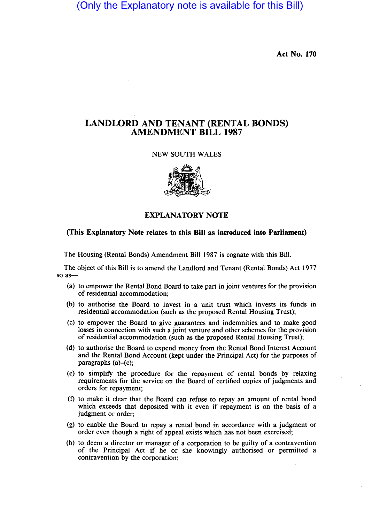(Only the Explanatory note is available for this Bill)

**Act No. 170** 

### **LANDLORD AND TENANT (RENTAL BONDS) AMENDMENT BILL 1987**

### NEW SOUTH WALES



### **EXPLANATORY NOTE**

#### **(This Explanatory Note relates to this Bill as introduced into Parliament)**

The Housing (Rental Bonds) Amendment Bill 1987 is cognate with this Bill.

The object of this Bill is to amend the Landlord and Tenant (Rental Bonds) Act 1977 so  $as$ —

- (a) to empower the Rental Bond Board to take part in joint ventures for the provision of residential accommodation;
- (b) to authorise the Board to invest in a unit trust which invests its funds in residential accommodation (such as the proposed Rental Housing Trust);
- (c) to empower the Board to give guarantees and indemnities. and to make good losses in connection with such a joint venture and other schemes for the provision of residential accommodation (such as the proposed Rental Housing Trust);
- (d) to authorise the Board to expend money from the Rental Bond Interest Account and the Rental Bond Account (kept under the Principal Act) for the purposes of paragraphs  $(a)$ – $(c)$ ;
- (e) to simplify the procedure for the repayment of rental bonds by relaxing requirements for the service on the Board of certified copies of judgments and orders for repayment;
- (f) to make it clear that the Board can refuse to repay an amount of rental bond which exceeds that deposited with it even if repayment is on the basis of a judgment or order;
- (g) to enable the Board to repay a rental bond in accordance with a judgment or order even though a right of appeal exists which has not been exercised;
- (h) to deem a director or manager of a corporation to be guilty of a contravention of the Principal Act if he or she knowingly authorised or permitted a contravention by the corporation;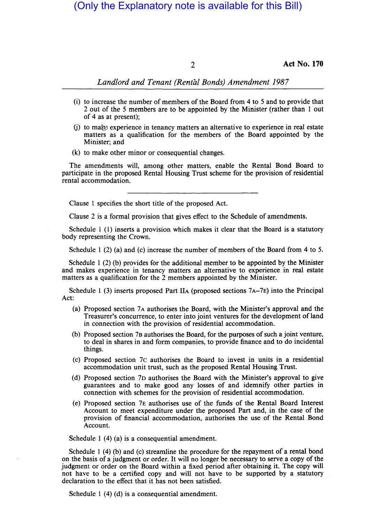# (Only the Explanatory note is available for this Bill)

2 **Act No. 170** 

### *Landlord and Tenant (Rental Bonds) Amendment 1987*

- (i) to increase the number of members of the Board from 4 to 5 and to provide that 2 out of the 5 members are to be appointed by the Minister (rather than lout of 4 as at present);
- $(i)$  to ma $\ddot{\bm{\epsilon}}$  experience in tenancy matters an alternative to experience in real estate matters as a qualification for the members of the Board appointed by the Minister; and
- (k) to make other minor or consequential changes.

The amendments will, among other matters, enable the Rental Bond Board to participate in the proposed Rental Housing Trust scheme for the provision of residential rental accommodation.

Clause 1 specifies the short title of the proposed Act.

Clause 2 is a formal provision that gives effect to the Schedule of amendments.

Schedule 1 (1) inserts a provision which makes it clear that the Board is a statutory body representing the Crown.

Schedule 1 (2) (a) and (c) increase the number of members of the Board from 4 to 5.

Schedule 1 (2) (b) provides for the additional member to be appointed by the Minister and makes experience in tenancy matters an alternative to experience in real estate matters as a qualification for the 2 members appointed by the Minister.

Schedule 1 (3) inserts proposed Part IIA (proposed sections  $7A-7E$ ) into the Principal Act:

- (a) Proposed section 7 A authorises the Board, with the Minister's approval and the Treasurer's concurrence, to enter into joint ventures for the development of land in connection with the provision of residential accommodation.
- (b) Proposed section 7B authorises the Board, for the purposes of such a joint venture, to deal in shares in and form companies, to provide finance and to do incidental things.
- (c) Proposed section 7c authorises the Board to invest in units in a residential accommodation unit trust, such as the proposed Rental Housing Trust.
- (d) Proposed section 7D authorises the Board with the Minister's approval to give guarantees and to make good any losses of and idemnify other parties in connection with schemes for the provision of residential accommodation.
- (e) Proposed section 7E authorises use of the funds of the Rental Board Interest Account to meet expenditure under the proposed Part and, in the case of the provision of financial accommodation, authorises the use of the Rental Bond Account.

Schedule 1 (4) (a) is a consequential amendment.

Schedule I (4) (b) and (c) streamline the procedure for the repayment of a rental bond on the basis of a judgment or order. It will no longer be necessary to serve a copy of the judgment or order on the Board within a fixed period after obtaining it. The copy will not have to be a certified copy and will not have to be supported by a statutory declaration to the effect that it has not been satisfied.

Schedule 1 (4) (d) is a consequential amendment.